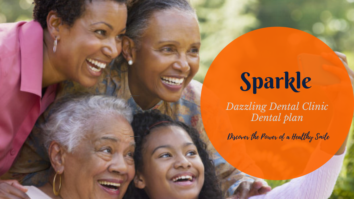

## Sparkle *Dazzling Dental Clinic Dental plan*

Discover the Power of a Healthy Smile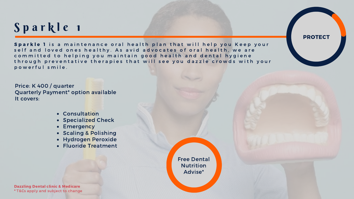Sparkle 1

Sparkle 1 is a maintenance oral health plan that will help you Keep your self and loved ones healthy. As avid advocates of oral health, we are committed to helping you maintain good health and dental hygiene through preventative therapies that will see you dazzle crowds with your powerful smile.

> Free Dental Nutrition Advise\*

Price: K 400 / quarter Quarterly Payment\* option available It covers:

- Consultation
- **Specialized Check**
- **Emergency**
- Scaling & Polishing
- Hydrogen Peroxide
- Fluoride Treatment

Dazzling Dental clinic & Medicare \* T&Cs apply and subject to change

## **PROTECT**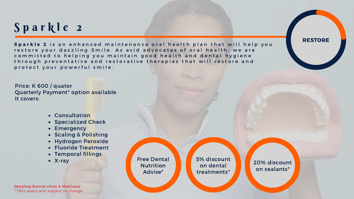Sparkle 2

Sparkle 2 is an enhanced maintenance oral health plan that will help you restore your dazzling Smile. As avid advocates of oral health, we are committed to helping you maintain good health and dental hygiene through preventative and restorative therapies that will restore and protect your powerful smile.

> Free Dental Nutrition Advise\*

Price: K 600 / quater Quarterly Payment\* option available It covers:

- Consultation
- **Specialized Check**
- **Emergency**
- Scaling & Polishing
- Hydrogen Peroxide
- Fluoride Treatment
- Temporal fillings
- X-ray

## RESTORE

5% discount on dental treatments\*

20% discount on sealants\*

Dazzling Dental clinic & Medicare \* T&Cs apply and subject to change